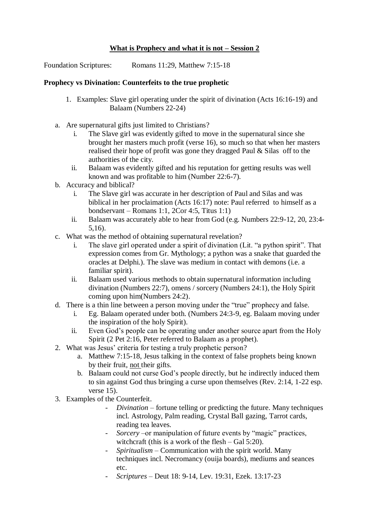## **What is Prophecy and what it is not – Session 2**

Foundation Scriptures: Romans 11:29, Matthew 7:15-18

## **Prophecy vs Divination: Counterfeits to the true prophetic**

- 1. Examples: Slave girl operating under the spirit of divination (Acts 16:16-19) and Balaam (Numbers 22-24)
- a. Are supernatural gifts just limited to Christians?
	- i. The Slave girl was evidently gifted to move in the supernatural since she brought her masters much profit (verse 16), so much so that when her masters realised their hope of profit was gone they dragged Paul & Silas off to the authorities of the city.
	- ii. Balaam was evidently gifted and his reputation for getting results was well known and was profitable to him (Number 22:6-7).
- b. Accuracy and biblical?
	- i. The Slave girl was accurate in her description of Paul and Silas and was biblical in her proclaimation (Acts 16:17) note: Paul referred to himself as a bondservant – Romans 1:1, 2Cor 4:5, Titus 1:1)
	- ii. Balaam was accurately able to hear from God (e.g. Numbers 22:9-12, 20, 23:4- 5,16).
- c. What was the method of obtaining supernatural revelation?
	- i. The slave girl operated under a spirit of divination (Lit. "a python spirit". That expression comes from Gr. Mythology; a python was a snake that guarded the oracles at Delphi.). The slave was medium in contact with demons (i.e. a familiar spirit).
	- ii. Balaam used various methods to obtain supernatural information including divination (Numbers 22:7), omens / sorcery (Numbers 24:1), the Holy Spirit coming upon him(Numbers 24:2).
- d. There is a thin line between a person moving under the "true" prophecy and false.
	- i. Eg. Balaam operated under both. (Numbers 24:3-9, eg. Balaam moving under the inspiration of the holy Spirit).
	- ii. Even God's people can be operating under another source apart from the Holy Spirit (2 Pet 2:16, Peter referred to Balaam as a prophet).
- 2. What was Jesus' criteria for testing a truly prophetic person?
	- a. Matthew 7:15-18, Jesus talking in the context of false prophets being known by their fruit, not their gifts.
	- b. Balaam could not curse God's people directly, but he indirectly induced them to sin against God thus bringing a curse upon themselves (Rev. 2:14, 1-22 esp. verse 15).
- 3. Examples of the Counterfeit.
	- *Divination* fortune telling or predicting the future. Many techniques incl. Astrology, Palm reading, Crystal Ball gazing, Tarrot cards, reading tea leaves.
	- *Sorcery* –or manipulation of future events by "magic" practices, witchcraft (this is a work of the flesh – Gal 5:20).
	- *Spiritualism –* Communication with the spirit world. Many techniques incl. Necromancy (ouija boards), mediums and seances etc.
	- *Scriptures –* Deut 18: 9-14, Lev. 19:31, Ezek. 13:17-23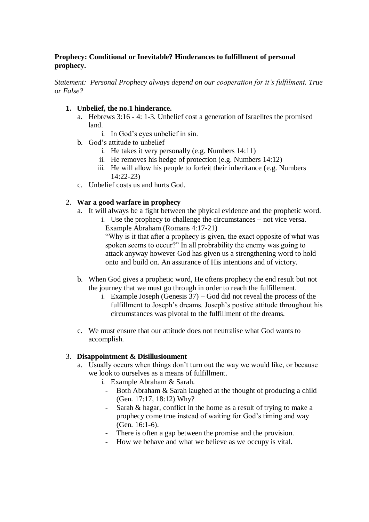## **Prophecy: Conditional or Inevitable? Hinderances to fulfillment of personal prophecy.**

*Statement: Personal Prophecy always depend on our cooperation for it's fulfilment. True or False?*

## **1. Unbelief, the no.1 hinderance.**

- a. Hebrews 3:16 4: 1-3. Unbelief cost a generation of Israelites the promised land.
	- i. In God's eyes unbelief in sin.
- b. God's attitude to unbelief
	- i. He takes it very personally (e.g. Numbers 14:11)
	- ii. He removes his hedge of protection (e.g. Numbers 14:12)
	- iii. He will allow his people to forfeit their inheritance (e.g. Numbers  $14:22-23$
- c. Unbelief costs us and hurts God.

### 2. **War a good warfare in prophecy**

- a. It will always be a fight between the phyical evidence and the prophetic word.
	- i. Use the prophecy to challenge the circumstances not vice versa. Example Abraham (Romans 4:17-21)

"Why is it that after a prophecy is given, the exact opposite of what was spoken seems to occur?" In all probrability the enemy was going to attack anyway however God has given us a strengthening word to hold onto and build on. An assurance of His intentions and of victory.

- b. When God gives a prophetic word, He oftens prophecy the end result but not the journey that we must go through in order to reach the fulfillement.
	- i. Example Joseph (Genesis 37) God did not reveal the process of the fulfillment to Joseph's dreams. Joseph's postive attitude throughout his circumstances was pivotal to the fulfillment of the dreams.
- c. We must ensure that our attitude does not neutralise what God wants to accomplish.

#### 3. **Disappointment & Disillusionment**

- a. Usually occurs when things don't turn out the way we would like, or because we look to ourselves as a means of fulfillment.
	- i. Example Abraham & Sarah.
		- Both Abraham & Sarah laughed at the thought of producing a child (Gen. 17:17, 18:12) Why?
		- Sarah & hagar, conflict in the home as a result of trying to make a prophecy come true instead of waiting for God's timing and way (Gen. 16:1-6).
		- There is often a gap between the promise and the provision.
		- How we behave and what we believe as we occupy is vital.